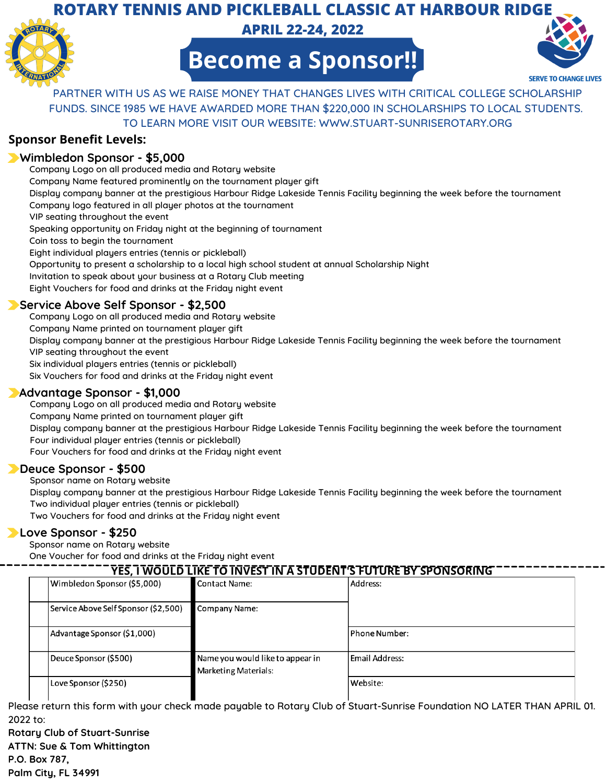### **ROTARY TENNIS AND PICKLEBALL CLASSIC AT HARBOUR RIDGE**



**APRIL 22-24, 2022**



**Become a Sponsor!!**

PARTNER WITH US AS WE RAISE MONEY THAT CHANGES LIVES WITH CRITICAL COLLEGE SCHOLARSHIP FUNDS. SINCE 1985 WE HAVE AWARDED MORE THAN \$220,000 IN SCHOLARSHIPS TO LOCAL STUDENTS. TO LEARN MORE VISIT OUR WEBSITE: WWW.STUART-SUNRISEROTARY.ORG

#### **Sponsor Benefit Levels:**

#### **Wimbledon Sponsor - \$5,000**

Company Logo on all produced media and Rotary website Company Name featured prominently on the tournament player gift Display company banner at the prestigious Harbour Ridge Lakeside Tennis Facility beginning the week before the tournament Company logo featured in all player photos at the tournament VIP seating throughout the event Speaking opportunity on Friday night at the beginning of tournament Coin toss to begin the tournament Eight individual players entries (tennis or pickleball) Opportunity to present a scholarship to a local high school student at annual Scholarship Night Invitation to speak about your business at a Rotary Club meeting Eight Vouchers for food and drinks at the Friday night event

#### **Service Above Self Sponsor - \$2,500**

Company Logo on all produced media and Rotary website Company Name printed on tournament player gift Display company banner at the prestigious Harbour Ridge Lakeside Tennis Facility beginning the week before the tournament VIP seating throughout the event Six individual players entries (tennis or pickleball) Six Vouchers for food and drinks at the Friday night event

#### **Advantage Sponsor - \$1,000**

Company Logo on all produced media and Rotary website Company Name printed on tournament player gift Display company banner at the prestigious Harbour Ridge Lakeside Tennis Facility beginning the week before the tournament Four individual player entries (tennis or pickleball) Four Vouchers for food and drinks at the Friday night event

#### **Deuce Sponsor - \$500**

Sponsor name on Rotary website

Display company banner at the prestigious Harbour Ridge Lakeside Tennis Facility beginning the week before the tournament Two individual player entries (tennis or pickleball)

Two Vouchers for food and drinks at the Friday night event

#### **Love Sponsor - \$250**

Sponsor name on Rotary website

One Voucher for food and drinks at the Friday night event

| <u>YES, I WOULD LIKE TO INVEST IN A STUDENT'S FUTURE BY SPONSORING</u> |                                                                 |                |  |
|------------------------------------------------------------------------|-----------------------------------------------------------------|----------------|--|
| Wimbledon Sponsor (\$5,000)                                            | <b>Contact Name:</b>                                            | Address:       |  |
| Service Above Self Sponsor (\$2,500)                                   | Company Name:                                                   |                |  |
| Advantage Sponsor (\$1,000)                                            |                                                                 | Phone Number:  |  |
| Deuce Sponsor (\$500)                                                  | Name you would like to appear in<br><b>Marketing Materials:</b> | Email Address: |  |
| Love Sponsor (\$250)                                                   |                                                                 | Website:       |  |

Please return this form with your check made payable to Rotary Club of Stuart-Sunrise Foundation NO LATER THAN APRIL 01. 2022 to:

**Rotary Club of Stuart-Sunrise ATTN: Sue & Tom Whittington P.O. Box 787, Palm City, FL 34991**